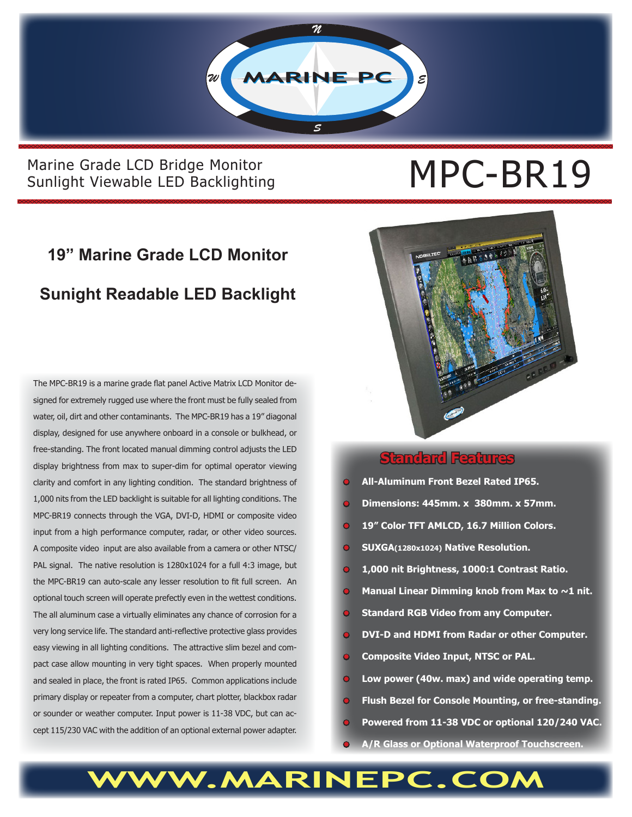

### Marine Grade LCD Bridge Monitor<br>Sunlight Viewable LED Backlighting<br> **MPC-BR19** Sunlight Viewable LED Backlighting

### **19" Marine Grade LCD Monitor Sunight Readable LED Backlight**

The MPC-BR19 is a marine grade flat panel Active Matrix LCD Monitor designed for extremely rugged use where the front must be fully sealed from water, oil, dirt and other contaminants. The MPC-BR19 has a 19" diagonal display, designed for use anywhere onboard in a console or bulkhead, or free-standing. The front located manual dimming control adjusts the LED display brightness from max to super-dim for optimal operator viewing clarity and comfort in any lighting condition. The standard brightness of 1,000 nits from the LED backlight is suitable for all lighting conditions. The MPC-BR19 connects through the VGA, DVI-D, HDMI or composite video input from a high performance computer, radar, or other video sources. A composite video input are also available from a camera or other NTSC/ PAL signal. The native resolution is 1280x1024 for a full 4:3 image, but the MPC-BR19 can auto-scale any lesser resolution to fit full screen. An optional touch screen will operate prefectly even in the wettest conditions. The all aluminum case a virtually eliminates any chance of corrosion for a very long service life. The standard anti-reflective protective glass provides easy viewing in all lighting conditions. The attractive slim bezel and compact case allow mounting in very tight spaces. When properly mounted and sealed in place, the front is rated IP65. Common applications include primary display or repeater from a computer, chart plotter, blackbox radar or sounder or weather computer. Input power is 11-38 VDC, but can accept 115/230 VAC with the addition of an optional external power adapter.



#### **Standard Features**

- **• All-Aluminum Front Bezel Rated IP65.**
- **• Dimensions: 445mm. x 380mm. x 57mm.**
- **• 19" Color TFT AMLCD, 16.7 Million Colors.**
- **• SUXGA(1280x1024) Native Resolution.**
- **1,000 nit Brightness, 1000:1 Contrast Ratio.**
- **Manual Linear Dimming knob from Max to ~1 nit.**
- **• Standard RGB Video from any Computer.**
- **• DVI-D and HDMI from Radar or other Computer.**
- **• Composite Video Input, NTSC or PAL.**
- **• Low power (40w. max) and wide operating temp.**
- **• Flush Bezel for Console Mounting, or free-standing.**
- **• Powered from 11-38 VDC or optional 120/240 VAC.**
- **• A/R Glass or Optional Waterproof Touchscreen.**

## **WWW.MARINEPC.COM**